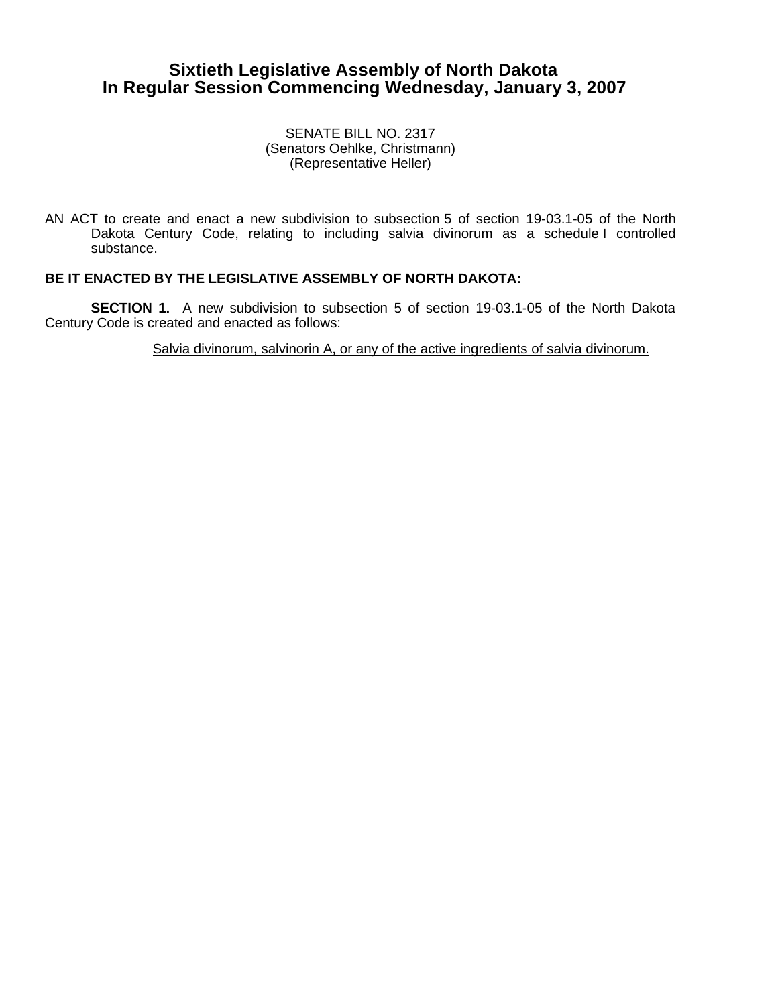## **Sixtieth Legislative Assembly of North Dakota In Regular Session Commencing Wednesday, January 3, 2007**

SENATE BILL NO. 2317 (Senators Oehlke, Christmann) (Representative Heller)

AN ACT to create and enact a new subdivision to subsection 5 of section 19-03.1-05 of the North Dakota Century Code, relating to including salvia divinorum as a schedule I controlled substance.

## **BE IT ENACTED BY THE LEGISLATIVE ASSEMBLY OF NORTH DAKOTA:**

**SECTION 1.** A new subdivision to subsection 5 of section 19-03.1-05 of the North Dakota Century Code is created and enacted as follows:

Salvia divinorum, salvinorin A, or any of the active ingredients of salvia divinorum.